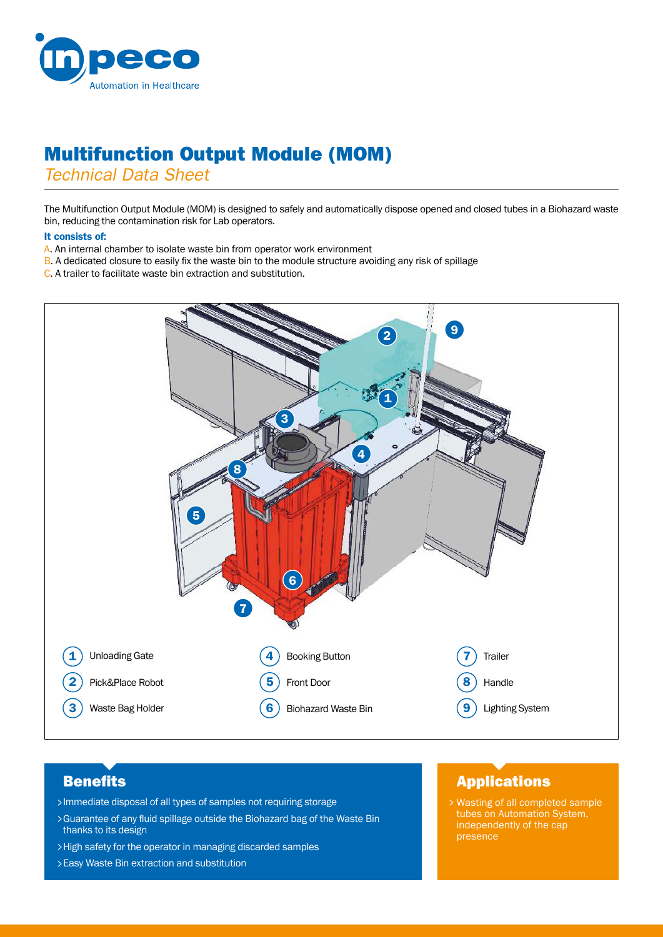

# Multifunction Output Module (MOM)

*Technical Data Sheet*

The Multifunction Output Module (MOM) is designed to safely and automatically dispose opened and closed tubes in a Biohazard waste bin, reducing the contamination risk for Lab operators.

#### It consists of:

- A. An internal chamber to isolate waste bin from operator work environment
- B. A dedicated closure to easily fix the waste bin to the module structure avoiding any risk of spillage
- C. A trailer to facilitate waste bin extraction and substitution.



# **Benefits**

- Immediate disposal of all types of samples not requiring storage >
- Guarantee of any fluid spillage outside the Biohazard bag of the Waste Bin > thanks to its design
- High safety for the operator in managing discarded samples >
- Easy Waste Bin extraction and substitution >

### Applications

Wasting of all completed sample > tubes on Automation System, independently of the cap